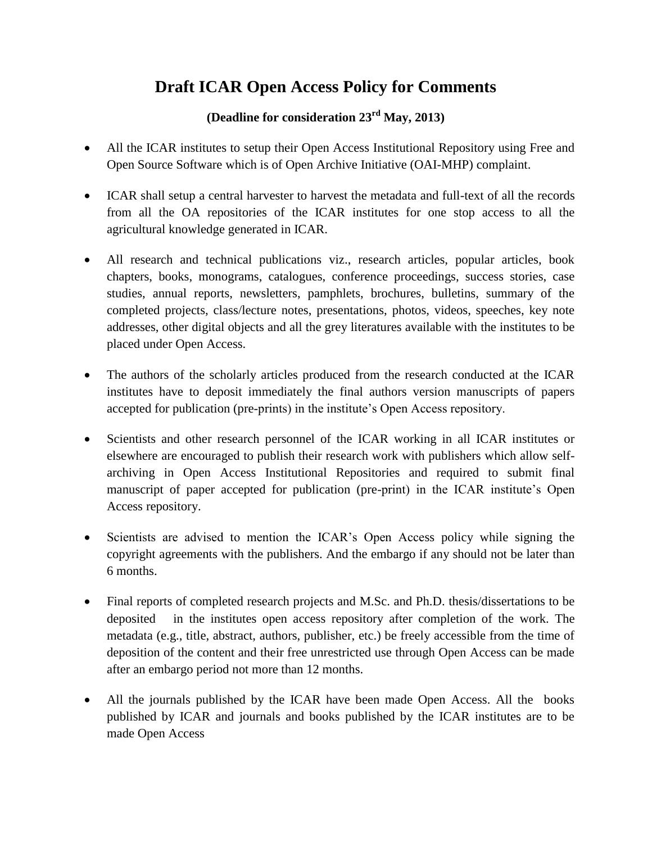## **Draft ICAR Open Access Policy for Comments**

## **(Deadline for consideration 23rd May, 2013)**

- All the ICAR institutes to setup their Open Access Institutional Repository using Free and Open Source Software which is of Open Archive Initiative (OAI-MHP) complaint.
- ICAR shall setup a central harvester to harvest the metadata and full-text of all the records from all the OA repositories of the ICAR institutes for one stop access to all the agricultural knowledge generated in ICAR.
- All research and technical publications viz., research articles, popular articles, book chapters, books, monograms, catalogues, conference proceedings, success stories, case studies, annual reports, newsletters, pamphlets, brochures, bulletins, summary of the completed projects, class/lecture notes, presentations, photos, videos, speeches, key note addresses, other digital objects and all the grey literatures available with the institutes to be placed under Open Access.
- The authors of the scholarly articles produced from the research conducted at the ICAR institutes have to deposit immediately the final authors version manuscripts of papers accepted for publication (pre-prints) in the institute's Open Access repository.
- Scientists and other research personnel of the ICAR working in all ICAR institutes or elsewhere are encouraged to publish their research work with publishers which allow selfarchiving in Open Access Institutional Repositories and required to submit final manuscript of paper accepted for publication (pre-print) in the ICAR institute's Open Access repository.
- Scientists are advised to mention the ICAR's Open Access policy while signing the copyright agreements with the publishers. And the embargo if any should not be later than 6 months.
- Final reports of completed research projects and M.Sc. and Ph.D. thesis/dissertations to be deposited in the institutes open access repository after completion of the work. The metadata (e.g., title, abstract, authors, publisher, etc.) be freely accessible from the time of deposition of the content and their free unrestricted use through Open Access can be made after an embargo period not more than 12 months.
- All the journals published by the ICAR have been made Open Access. All the books published by ICAR and journals and books published by the ICAR institutes are to be made Open Access